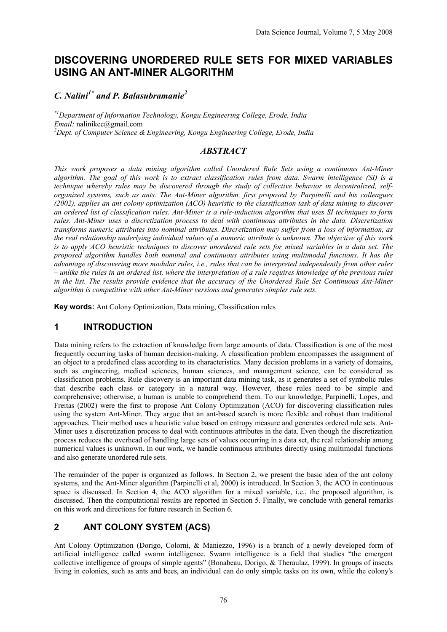# **DISCOVERING UNORDERED RULE SETS FOR MIXED VARIABLES USING AN ANT-MINER ALGORITHM**

# *C. Nalini1\* and P. Balasubramanie2*

*\*1Department of Information Technology, Kongu Engineering College, Erode, India Email:* nalinikec@gmail.com *Dept. of Computer Science & Engineering, Kongu Engineering College, Erode, India* 

## *ABSTRACT*

*This work proposes a data mining algorithm called Unordered Rule Sets using a continuous Ant-Miner algorithm. The goal of this work is to extract classification rules from data. Swarm intelligence (SI) is a technique whereby rules may be discovered through the study of collective behavior in decentralized, selforganized systems, such as ants. The Ant-Miner algorithm, first proposed by Parpinelli and his colleagues (2002), applies an ant colony optimization (ACO) heuristic to the classification task of data mining to discover an ordered list of classification rules. Ant-Miner is a rule-induction algorithm that uses SI techniques to form rules. Ant-Miner uses a discretization process to deal with continuous attributes in the data. Discretization transforms numeric attributes into nominal attributes. Discretization may suffer from a loss of information, as the real relationship underlying individual values of a numeric attribute is unknown. The objective of this work is to apply ACO heuristic techniques to discover unordered rule sets for mixed variables in a data set. The proposed algorithm handles both nominal and continuous attributes using multimodal functions. It has the advantage of discovering more modular rules, i.e., rules that can be interpreted independently from other rules – unlike the rules in an ordered list, where the interpretation of a rule requires knowledge of the previous rules in the list. The results provide evidence that the accuracy of the Unordered Rule Set Continuous Ant-Miner algorithm is competitive with other Ant-Miner versions and generates simpler rule sets.* 

**Key words:** Ant Colony Optimization, Data mining, Classification rules

## **1 INTRODUCTION**

Data mining refers to the extraction of knowledge from large amounts of data. Classification is one of the most frequently occurring tasks of human decision-making. A classification problem encompasses the assignment of an object to a predefined class according to its characteristics. Many decision problems in a variety of domains, such as engineering, medical sciences, human sciences, and management science, can be considered as classification problems. Rule discovery is an important data mining task, as it generates a set of symbolic rules that describe each class or category in a natural way. However, these rules need to be simple and comprehensive; otherwise, a human is unable to comprehend them. To our knowledge, Parpinelli, Lopes, and Freitas (2002) were the first to propose Ant Colony Optimization (ACO) for discovering classification rules using the system Ant-Miner. They argue that an ant-based search is more flexible and robust than traditional approaches. Their method uses a heuristic value based on entropy measure and generates ordered rule sets. Ant-Miner uses a discretization process to deal with continuous attributes in the data. Even though the discretization process reduces the overhead of handling large sets of values occurring in a data set, the real relationship among numerical values is unknown. In our work, we handle continuous attributes directly using multimodal functions and also generate unordered rule sets.

The remainder of the paper is organized as follows. In Section 2, we present the basic idea of the ant colony systems, and the Ant-Miner algorithm (Parpinelli et al, 2000) is introduced. In Section 3, the ACO in continuous space is discussed. In Section 4, the ACO algorithm for a mixed variable, i.e., the proposed algorithm, is discussed. Then the computational results are reported in Section 5. Finally, we conclude with general remarks on this work and directions for future research in Section 6.

# **2 ANT COLONY SYSTEM (ACS)**

Ant Colony Optimization (Dorigo, Colorni, & Maniezzo, 1996) is a branch of a newly developed form of artificial intelligence called swarm intelligence. Swarm intelligence is a field that studies "the emergent collective intelligence of groups of simple agents" (Bonabeau, Dorigo, & Theraulaz, 1999). In groups of insects living in colonies, such as ants and bees, an individual can do only simple tasks on its own, while the colony's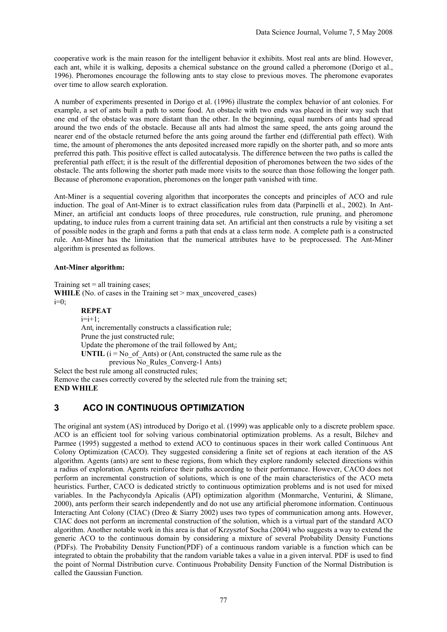cooperative work is the main reason for the intelligent behavior it exhibits. Most real ants are blind. However, each ant, while it is walking, deposits a chemical substance on the ground called a pheromone (Dorigo et al., 1996). Pheromones encourage the following ants to stay close to previous moves. The pheromone evaporates over time to allow search exploration.

A number of experiments presented in Dorigo et al. (1996) illustrate the complex behavior of ant colonies. For example, a set of ants built a path to some food. An obstacle with two ends was placed in their way such that one end of the obstacle was more distant than the other. In the beginning, equal numbers of ants had spread around the two ends of the obstacle. Because all ants had almost the same speed, the ants going around the nearer end of the obstacle returned before the ants going around the farther end (differential path effect). With time, the amount of pheromones the ants deposited increased more rapidly on the shorter path, and so more ants preferred this path. This positive effect is called autocatalysis. The difference between the two paths is called the preferential path effect; it is the result of the differential deposition of pheromones between the two sides of the obstacle. The ants following the shorter path made more visits to the source than those following the longer path. Because of pheromone evaporation, pheromones on the longer path vanished with time.

Ant-Miner is a sequential covering algorithm that incorporates the concepts and principles of ACO and rule induction. The goal of Ant-Miner is to extract classification rules from data (Parpinelli et al., 2002). In Ant-Miner, an artificial ant conducts loops of three procedures, rule construction, rule pruning, and pheromone updating, to induce rules from a current training data set. An artificial ant then constructs a rule by visiting a set of possible nodes in the graph and forms a path that ends at a class term node. A complete path is a constructed rule. Ant-Miner has the limitation that the numerical attributes have to be preprocessed. The Ant-Miner algorithm is presented as follows.

#### **Ant-Miner algorithm:**

Training set  $=$  all training cases: **WHILE** (No. of cases in the Training set  $>$  max uncovered cases)  $i=0$ ; **REPEAT**   $i=i+1$ ; Anti incrementally constructs a classification rule; Prune the just constructed rule; Update the pheromone of the trail followed by Anti; **UNTIL**  $(i = No \text{ of } Ants)$  or  $(Ant_i \text{ constructed the same rule as the$ previous No Rules Converg-1 Ants) Select the best rule among all constructed rules; Remove the cases correctly covered by the selected rule from the training set; **END WHILE** 

# **3 ACO IN CONTINUOUS OPTIMIZATION**

The original ant system (AS) introduced by Dorigo et al. (1999) was applicable only to a discrete problem space. ACO is an efficient tool for solving various combinatorial optimization problems. As a result, Bilchev and Parmee (1995) suggested a method to extend ACO to continuous spaces in their work called Continuous Ant Colony Optimization (CACO). They suggested considering a finite set of regions at each iteration of the AS algorithm. Agents (ants) are sent to these regions, from which they explore randomly selected directions within a radius of exploration. Agents reinforce their paths according to their performance. However, CACO does not perform an incremental construction of solutions, which is one of the main characteristics of the ACO meta heuristics. Further, CACO is dedicated strictly to continuous optimization problems and is not used for mixed variables. In the Pachycondyla Apicalis (API) optimization algorithm (Monmarche, Venturini, & Slimane, 2000), ants perform their search independently and do not use any artificial pheromone information. Continuous Interacting Ant Colony (CIAC) (Dreo & Siarry 2002) uses two types of communication among ants. However, CIAC does not perform an incremental construction of the solution, which is a virtual part of the standard ACO algorithm. Another notable work in this area is that of Krzysztof Socha (2004) who suggests a way to extend the generic ACO to the continuous domain by considering a mixture of several Probability Density Functions (PDFs). The Probability Density Function(PDF) of a continuous random variable is a function which can be integrated to obtain the probability that the random variable takes a value in a given interval. PDF is used to find the point of Normal Distribution curve. Continuous Probability Density Function of the Normal Distribution is called the Gaussian Function.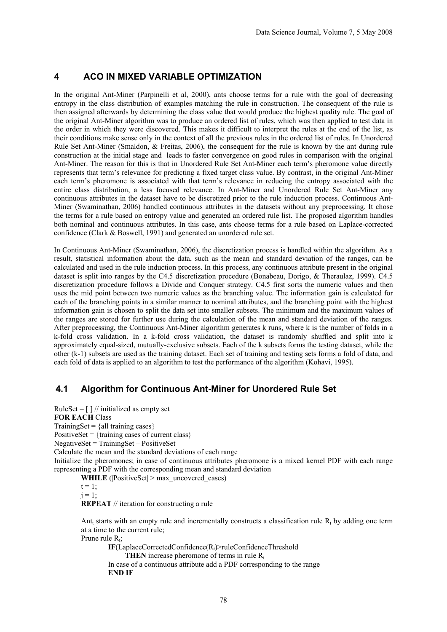### **4 ACO IN MIXED VARIABLE OPTIMIZATION**

In the original Ant-Miner (Parpinelli et al, 2000), ants choose terms for a rule with the goal of decreasing entropy in the class distribution of examples matching the rule in construction. The consequent of the rule is then assigned afterwards by determining the class value that would produce the highest quality rule. The goal of the original Ant-Miner algorithm was to produce an ordered list of rules, which was then applied to test data in the order in which they were discovered. This makes it difficult to interpret the rules at the end of the list, as their conditions make sense only in the context of all the previous rules in the ordered list of rules. In Unordered Rule Set Ant-Miner (Smaldon, & Freitas, 2006), the consequent for the rule is known by the ant during rule construction at the initial stage and leads to faster convergence on good rules in comparison with the original Ant-Miner. The reason for this is that in Unordered Rule Set Ant-Miner each term's pheromone value directly represents that term's relevance for predicting a fixed target class value. By contrast, in the original Ant-Miner each term's pheromone is associated with that term's relevance in reducing the entropy associated with the entire class distribution, a less focused relevance. In Ant-Miner and Unordered Rule Set Ant-Miner any continuous attributes in the dataset have to be discretized prior to the rule induction process. Continuous Ant-Miner (Swaminathan, 2006) handled continuous attributes in the datasets without any preprocessing. It chose the terms for a rule based on entropy value and generated an ordered rule list. The proposed algorithm handles both nominal and continuous attributes. In this case, ants choose terms for a rule based on Laplace-corrected confidence (Clark & Boswell, 1991) and generated an unordered rule set.

In Continuous Ant-Miner (Swaminathan, 2006), the discretization process is handled within the algorithm. As a result, statistical information about the data, such as the mean and standard deviation of the ranges, can be calculated and used in the rule induction process. In this process, any continuous attribute present in the original dataset is split into ranges by the C4.5 discretization procedure (Bonabeau, Dorigo, & Theraulaz, 1999). C4.5 discretization procedure follows a Divide and Conquer strategy. C4.5 first sorts the numeric values and then uses the mid point between two numeric values as the branching value. The information gain is calculated for each of the branching points in a similar manner to nominal attributes, and the branching point with the highest information gain is chosen to split the data set into smaller subsets. The minimum and the maximum values of the ranges are stored for further use during the calculation of the mean and standard deviation of the ranges. After preprocessing, the Continuous Ant-Miner algorithm generates k runs, where k is the number of folds in a k-fold cross validation. In a k-fold cross validation, the dataset is randomly shuffled and split into k approximately equal-sized, mutually-exclusive subsets. Each of the k subsets forms the testing dataset, while the other (k-1) subsets are used as the training dataset. Each set of training and testing sets forms a fold of data, and each fold of data is applied to an algorithm to test the performance of the algorithm (Kohavi, 1995).

## **4.1 Algorithm for Continuous Ant-Miner for Unordered Rule Set**

RuleSet =  $\lceil \frac{1}{\ell} \rceil$  initialized as empty set **FOR EACH** Class TrainingSet =  ${all training cases}$ PositiveSet =  ${training cases of current class}$ NegativeSet = TrainingSet – PositiveSet Calculate the mean and the standard deviations of each range Initialize the pheromones; in case of continuous attributes pheromone is a mixed kernel PDF with each range representing a PDF with the corresponding mean and standard deviation **WHILE** ( $\text{PositiveSet}| > \text{max}$  uncovered cases)

 $t = 1$ ;  $i = 1$ : **REPEAT** // iteration for constructing a rule

Ant<sub>t</sub> starts with an empty rule and incrementally constructs a classification rule R<sub>t</sub> by adding one term at a time to the current rule;

Prune rule  $R_t$ ;

**IF**(LaplaceCorrectedConfidence(Rt)>ruleConfidenceThreshold

**THEN** increase pheromone of terms in rule  $R_t$ 

In case of a continuous attribute add a PDF corresponding to the range **END IF**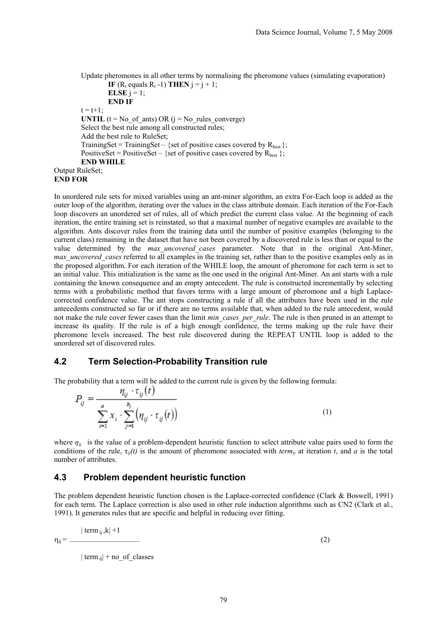Update pheromones in all other terms by normalising the pheromone values (simulating evaporation) **IF** ( $R_t$  equals  $R_t$  -1) **THEN**  $i = i + 1$ ;

**ELSE**  $j = 1$ ; **END IF**   $t = t + 1$ : **UNTIL** ( $t = No$  of ants) OR ( $j = No$  rules converge) Select the best rule among all constructed rules; Add the best rule to RuleSet; TrainingSet = TrainingSet – {set of positive cases covered by  $R_{best}$ }; PositiveSet = PositiveSet – {set of positive cases covered by  $R_{best}$  }; **END WHILE**  Output RuleSet; **END FOR** 

In unordered rule sets for mixed variables using an ant-miner algorithm, an extra For-Each loop is added as the outer loop of the algorithm, iterating over the values in the class attribute domain. Each iteration of the For-Each loop discovers an unordered set of rules, all of which predict the current class value. At the beginning of each iteration, the entire training set is reinstated, so that a maximal number of negative examples are available to the algorithm. Ants discover rules from the training data until the number of positive examples (belonging to the current class) remaining in the dataset that have not been covered by a discovered rule is less than or equal to the value determined by the *max\_uncovered\_cases* parameter. Note that in the original Ant-Miner, *max\_uncovered\_cases* referred to all examples in the training set, rather than to the positive examples only as in the proposed algorithm. For each iteration of the WHILE loop, the amount of pheromone for each term is set to an initial value. This initialization is the same as the one used in the original Ant-Miner. An ant starts with a rule containing the known consequence and an empty antecedent. The rule is constructed incrementally by selecting terms with a probabilistic method that favors terms with a large amount of pheromone and a high Laplacecorrected confidence value. The ant stops constructing a rule if all the attributes have been used in the rule antecedents constructed so far or if there are no terms available that, when added to the rule antecedent, would not make the rule cover fewer cases than the limit *min\_cases\_per\_rule*. The rule is then pruned in an attempt to increase its quality. If the rule is of a high enough confidence, the terms making up the rule have their pheromone levels increased. The best rule discovered during the REPEAT UNTIL loop is added to the unordered set of discovered rules.

### **4.2 Term Selection-Probability Transition rule**

The probability that a term will be added to the current rule is given by the following formula:

$$
P_{ij} = \frac{\eta_{ij} \cdot \tau_{ij}(t)}{\sum_{i=1}^{a} x_i \cdot \sum_{j=1}^{b_i} (\eta_{ij} \cdot \tau_{ij}(t))}
$$
(1)

where  $\eta_{ii}$  is the value of a problem-dependent heuristic function to select attribute value pairs used to form the conditions of the rule,  $\tau_{ij}(t)$  is the amount of pheromone associated with *term<sub>ij</sub>* at iteration *t*, and *a* is the total number of attributes.

### **4.3 Problem dependent heuristic function**

The problem dependent heuristic function chosen is the Laplace-corrected confidence (Clark & Boswell, 1991) for each term. The Laplace correction is also used in other rule induction algorithms such as CN2 (Clark et al., 1991). It generates rules that are specific and helpful in reducing over fitting.

| term  $_{ij}$ , $k$ | +1 ηij = ------------------------------------------- (2)

 $|$  term  $_{ii}|$  + no of classes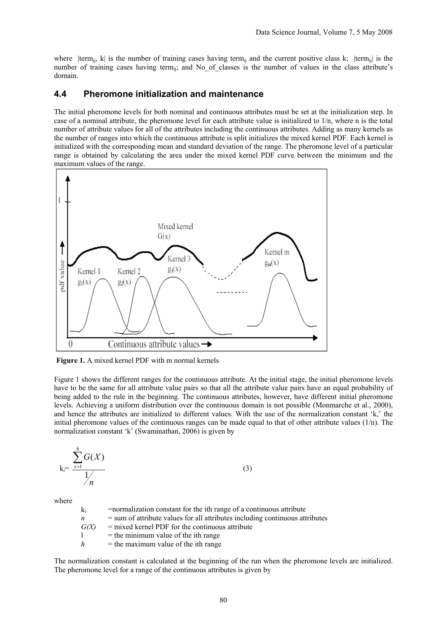where  $|term_{ii}, k|$  is the number of training cases having term<sub>ij</sub> and the current positive class k;  $|term_{ii}|$  is the number of training cases having term<sub>ii</sub>; and No of classes is the number of values in the class attribute's domain.

#### **4.4 Pheromone initialization and maintenance**

The initial pheromone levels for both nominal and continuous attributes must be set at the initialization step. In case of a nominal attribute, the pheromone level for each attribute value is initialized to 1/n, where n is the total number of attribute values for all of the attributes including the continuous attributes. Adding as many kernels as the number of ranges into which the continuous attribute is split initializes the mixed kernel PDF. Each kernel is initialized with the corresponding mean and standard deviation of the range. The pheromone level of a particular range is obtained by calculating the area under the mixed kernel PDF curve between the minimum and the maximum values of the range.



**Figure 1.** A mixed kernel PDF with m normal kernels

Figure 1 shows the different ranges for the continuous attribute. At the initial stage, the initial pheromone levels have to be the same for all attribute value pairs so that all the attribute value pairs have an equal probability of being added to the rule in the beginning. The continuous attributes, however, have different initial pheromone levels. Achieving a uniform distribution over the continuous domain is not possible (Monmarche et al., 2000), and hence the attributes are initialized to different values. With the use of the normalization constant 'k,' the initial pheromone values of the continuous ranges can be made equal to that of other attribute values  $(1/n)$ . The normalization constant 'k' (Swaminathan, 2006) is given by

 $k_i=$ *n*  $G(X)$ *h x* 1  $(X)$  $\sum_{x=1}$   $G(X)$  (3)

where

| $k_i$ | =normalization constant for the ith range of a continuous attribute            |
|-------|--------------------------------------------------------------------------------|
| n     | $=$ sum of attribute values for all attributes including continuous attributes |
| G(X)  | $=$ mixed kernel PDF for the continuous attribute                              |
|       | $=$ the minimum value of the ith range                                         |
| h     | $=$ the maximum value of the ith range                                         |
|       |                                                                                |

The normalization constant is calculated at the beginning of the run when the pheromone levels are initialized. The pheromone level for a range of the continuous attributes is given by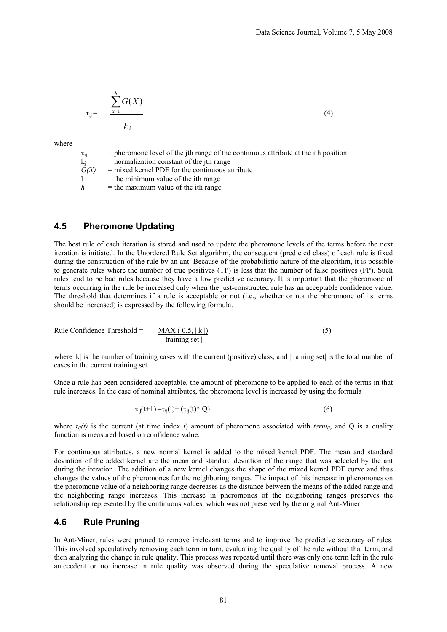$$
\tau_{ij} = \frac{\sum_{x=1}^{h} G(X)}{k_i}
$$
 (4)

where

 $\tau_{ii}$  = pheromone level of the jth range of the continuous attribute at the ith position  $k_i$  = normalization constant of the ith range  $\dot{G}(X)$  = mixed kernel PDF for the continuous attribute  $l =$  the minimum value of the ith range  $h$  = the maximum value of the ith range

### **4.5 Pheromone Updating**

The best rule of each iteration is stored and used to update the pheromone levels of the terms before the next iteration is initiated. In the Unordered Rule Set algorithm, the consequent (predicted class) of each rule is fixed during the construction of the rule by an ant. Because of the probabilistic nature of the algorithm, it is possible to generate rules where the number of true positives (TP) is less that the number of false positives (FP). Such rules tend to be bad rules because they have a low predictive accuracy. It is important that the pheromone of terms occurring in the rule be increased only when the just-constructed rule has an acceptable confidence value. The threshold that determines if a rule is acceptable or not (i.e., whether or not the pheromone of its terms should be increased) is expressed by the following formula.

Rule Confidence Threshold = 
$$
\frac{MAX (0.5, |k|)}{|\text{training set}|}
$$
 (5)

where |k| is the number of training cases with the current (positive) class, and |training set| is the total number of cases in the current training set.

Once a rule has been considered acceptable, the amount of pheromone to be applied to each of the terms in that rule increases. In the case of nominal attributes, the pheromone level is increased by using the formula

$$
\tau_{ij}(t+1) = \tau_{ij}(t) + (\tau_{ij}(t)^* Q) \tag{6}
$$

where  $\tau_{ii}(t)$  is the current (at time index *t*) amount of pheromone associated with *term<sub>ij</sub>*, and Q is a quality function is measured based on confidence value.

For continuous attributes, a new normal kernel is added to the mixed kernel PDF. The mean and standard deviation of the added kernel are the mean and standard deviation of the range that was selected by the ant during the iteration. The addition of a new kernel changes the shape of the mixed kernel PDF curve and thus changes the values of the pheromones for the neighboring ranges. The impact of this increase in pheromones on the pheromone value of a neighboring range decreases as the distance between the means of the added range and the neighboring range increases. This increase in pheromones of the neighboring ranges preserves the relationship represented by the continuous values, which was not preserved by the original Ant-Miner.

#### **4.6 Rule Pruning**

In Ant-Miner, rules were pruned to remove irrelevant terms and to improve the predictive accuracy of rules. This involved speculatively removing each term in turn, evaluating the quality of the rule without that term, and then analyzing the change in rule quality. This process was repeated until there was only one term left in the rule antecedent or no increase in rule quality was observed during the speculative removal process. A new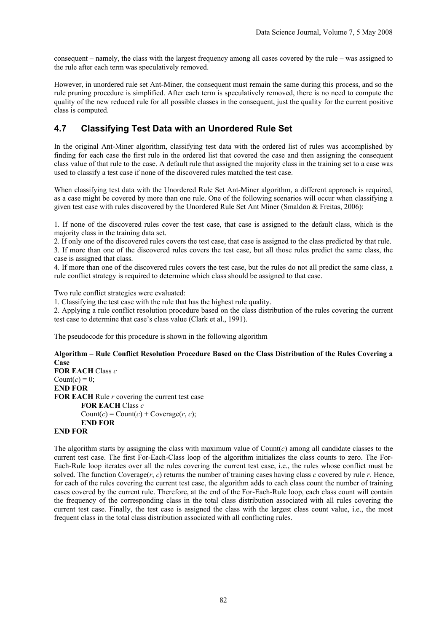consequent – namely, the class with the largest frequency among all cases covered by the rule – was assigned to the rule after each term was speculatively removed.

However, in unordered rule set Ant-Miner, the consequent must remain the same during this process, and so the rule pruning procedure is simplified. After each term is speculatively removed, there is no need to compute the quality of the new reduced rule for all possible classes in the consequent, just the quality for the current positive class is computed.

# **4.7 Classifying Test Data with an Unordered Rule Set**

In the original Ant-Miner algorithm, classifying test data with the ordered list of rules was accomplished by finding for each case the first rule in the ordered list that covered the case and then assigning the consequent class value of that rule to the case. A default rule that assigned the majority class in the training set to a case was used to classify a test case if none of the discovered rules matched the test case.

When classifying test data with the Unordered Rule Set Ant-Miner algorithm, a different approach is required, as a case might be covered by more than one rule. One of the following scenarios will occur when classifying a given test case with rules discovered by the Unordered Rule Set Ant Miner (Smaldon & Freitas, 2006):

1. If none of the discovered rules cover the test case, that case is assigned to the default class, which is the majority class in the training data set.

2. If only one of the discovered rules covers the test case, that case is assigned to the class predicted by that rule.

3. If more than one of the discovered rules covers the test case, but all those rules predict the same class, the case is assigned that class.

4. If more than one of the discovered rules covers the test case, but the rules do not all predict the same class, a rule conflict strategy is required to determine which class should be assigned to that case.

Two rule conflict strategies were evaluated:

1. Classifying the test case with the rule that has the highest rule quality.

2. Applying a rule conflict resolution procedure based on the class distribution of the rules covering the current test case to determine that case's class value (Clark et al., 1991).

The pseudocode for this procedure is shown in the following algorithm

#### **Algorithm – Rule Conflict Resolution Procedure Based on the Class Distribution of the Rules Covering a Case**

**FOR EACH** Class *c*  Count $(c) = 0$ ; **END FOR FOR EACH** Rule *r* covering the current test case **FOR EACH** Class *c*   $Count(c) = Count(c) + Coverage(r, c);$ **END FOR END FOR** 

The algorithm starts by assigning the class with maximum value of  $Count(c)$  among all candidate classes to the current test case. The first For-Each-Class loop of the algorithm initializes the class counts to zero. The For-Each-Rule loop iterates over all the rules covering the current test case, i.e., the rules whose conflict must be solved. The function Coverage( $r$ ,  $c$ ) returns the number of training cases having class  $c$  covered by rule  $r$ . Hence, for each of the rules covering the current test case, the algorithm adds to each class count the number of training cases covered by the current rule. Therefore, at the end of the For-Each-Rule loop, each class count will contain the frequency of the corresponding class in the total class distribution associated with all rules covering the current test case. Finally, the test case is assigned the class with the largest class count value, i.e., the most frequent class in the total class distribution associated with all conflicting rules.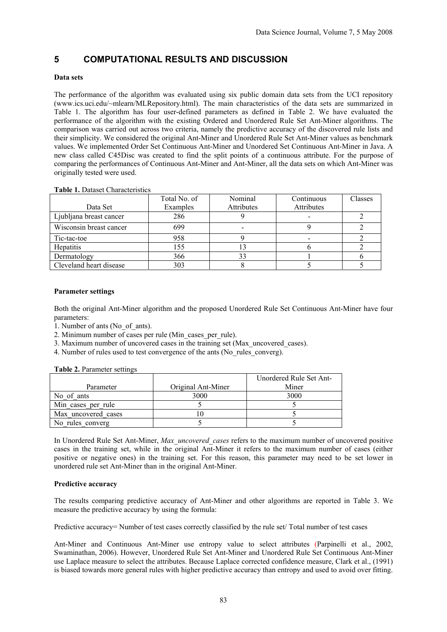# **5 COMPUTATIONAL RESULTS AND DISCUSSION**

#### **Data sets**

The performance of the algorithm was evaluated using six public domain data sets from the UCI repository (www.ics.uci.edu/~mlearn/MLRepository.html). The main characteristics of the data sets are summarized in Table 1. The algorithm has four user-defined parameters as defined in Table 2. We have evaluated the performance of the algorithm with the existing Ordered and Unordered Rule Set Ant-Miner algorithms. The comparison was carried out across two criteria, namely the predictive accuracy of the discovered rule lists and their simplicity. We considered the original Ant-Miner and Unordered Rule Set Ant-Miner values as benchmark values. We implemented Order Set Continuous Ant-Miner and Unordered Set Continuous Ant-Miner in Java. A new class called C45Disc was created to find the split points of a continuous attribute. For the purpose of comparing the performances of Continuous Ant-Miner and Ant-Miner, all the data sets on which Ant-Miner was originally tested were used.

|                         | Total No. of | Nominal    | Continuous | Classes |
|-------------------------|--------------|------------|------------|---------|
| Data Set                | Examples     | Attributes | Attributes |         |
| Ljubljana breast cancer | 286          |            |            |         |
| Wisconsin breast cancer | 699          | -          |            |         |
| Tic-tac-toe             | 958          |            |            |         |
| Hepatitis               | 155          |            |            |         |
| Dermatology             | 366          |            |            |         |
| Cleveland heart disease | 303          |            |            |         |

**Table 1.** Dataset Characteristics

#### **Parameter settings**

Both the original Ant-Miner algorithm and the proposed Unordered Rule Set Continuous Ant-Miner have four parameters:

- 1. Number of ants (No\_of\_ants).
- 2. Minimum number of cases per rule (Min\_cases\_per\_rule).
- 3. Maximum number of uncovered cases in the training set (Max\_uncovered\_cases).
- 4. Number of rules used to test convergence of the ants (No\_rules\_converg).

**Table 2.** Parameter settings

|                     |                    | Unordered Rule Set Ant- |
|---------------------|--------------------|-------------------------|
| Parameter           | Original Ant-Miner | Miner                   |
| No of ants          | 3000               | 3000                    |
| Min cases per rule  |                    |                         |
| Max uncovered cases |                    |                         |
| No rules converg    |                    |                         |

In Unordered Rule Set Ant-Miner, *Max\_uncovered\_cases* refers to the maximum number of uncovered positive cases in the training set, while in the original Ant-Miner it refers to the maximum number of cases (either positive or negative ones) in the training set. For this reason, this parameter may need to be set lower in unordered rule set Ant-Miner than in the original Ant-Miner.

#### **Predictive accuracy**

The results comparing predictive accuracy of Ant-Miner and other algorithms are reported in Table 3. We measure the predictive accuracy by using the formula:

Predictive accuracy= Number of test cases correctly classified by the rule set/ Total number of test cases

Ant-Miner and Continuous Ant-Miner use entropy value to select attributes (Parpinelli et al., 2002, Swaminathan, 2006). However, Unordered Rule Set Ant-Miner and Unordered Rule Set Continuous Ant-Miner use Laplace measure to select the attributes. Because Laplace corrected confidence measure, Clark et al., (1991) is biased towards more general rules with higher predictive accuracy than entropy and used to avoid over fitting.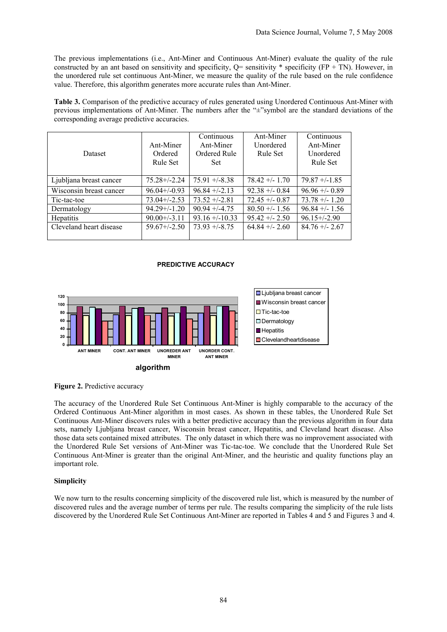The previous implementations (i.e., Ant-Miner and Continuous Ant-Miner) evaluate the quality of the rule constructed by an ant based on sensitivity and specificity,  $Q=$  sensitivity  $*$  specificity (FP + TN). However, in the unordered rule set continuous Ant-Miner, we measure the quality of the rule based on the rule confidence value. Therefore, this algorithm generates more accurate rules than Ant-Miner.

**Table 3.** Comparison of the predictive accuracy of rules generated using Unordered Continuous Ant-Miner with previous implementations of Ant-Miner. The numbers after the "±"symbol are the standard deviations of the corresponding average predictive accuracies.

| <b>Dataset</b>          | Ant-Miner<br>Ordered<br>Rule Set | Continuous<br>Ant-Miner<br>Ordered Rule<br><b>Set</b> | Ant-Miner<br>Unordered<br>Rule Set | Continuous<br>Ant-Miner<br>Unordered<br>Rule Set |
|-------------------------|----------------------------------|-------------------------------------------------------|------------------------------------|--------------------------------------------------|
| Ljubljana breast cancer | $75.28 + (-2.24)$                | $75.91 + (-8.38)$                                     | $78.42 + (-1.70)$                  | $79.87 + -1.85$                                  |
| Wisconsin breast cancer | $96.04+/-0.93$                   | $96.84 + -2.13$                                       | $92.38 + -0.84$                    | $96.96 + 0.89$                                   |
| Tic-tac-toe             | $73.04 + (-2.53)$                | $73.52 + -2.81$                                       | $72.45 + (-0.87)$                  | $73.78 + (-1.20)$                                |
| Dermatology             | $94.29 + (-1.20)$                | $90.94 + (-4.75)$                                     | $80.50 + (-1.56)$                  | $96.84 + - 1.56$                                 |
| <b>Hepatitis</b>        | $90.00+/3.11$                    | $93.16 + -10.33$                                      | $95.42 + -2.50$                    | $96.15 + (-2.90)$                                |
| Cleveland heart disease | $59.67 + (-2.50)$                | $73.93 + (-8.75)$                                     | $64.84 + - 2.60$                   | $84.76 + - 2.67$                                 |

#### **PREDICTIVE ACCURACY**







The accuracy of the Unordered Rule Set Continuous Ant-Miner is highly comparable to the accuracy of the Ordered Continuous Ant-Miner algorithm in most cases. As shown in these tables, the Unordered Rule Set Continuous Ant-Miner discovers rules with a better predictive accuracy than the previous algorithm in four data sets, namely Ljubljana breast cancer, Wisconsin breast cancer, Hepatitis, and Cleveland heart disease. Also those data sets contained mixed attributes. The only dataset in which there was no improvement associated with the Unordered Rule Set versions of Ant-Miner was Tic-tac-toe. We conclude that the Unordered Rule Set Continuous Ant-Miner is greater than the original Ant-Miner, and the heuristic and quality functions play an important role.

#### **Simplicity**

We now turn to the results concerning simplicity of the discovered rule list, which is measured by the number of discovered rules and the average number of terms per rule. The results comparing the simplicity of the rule lists discovered by the Unordered Rule Set Continuous Ant-Miner are reported in Tables 4 and 5 and Figures 3 and 4.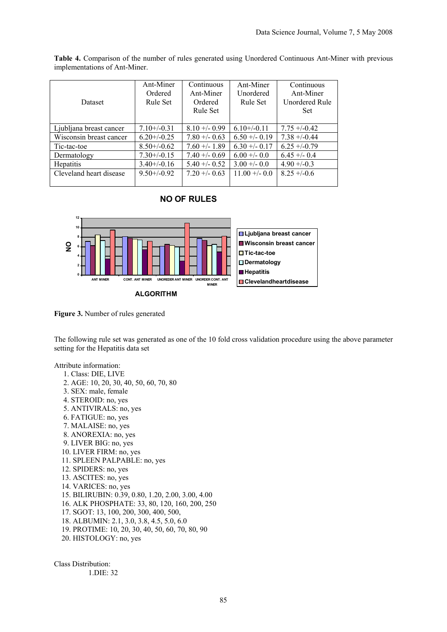| Dataset                 | Ant-Miner<br>Ordered<br>Rule Set | Continuous<br>Ant-Miner<br>Ordered<br>Rule Set | Ant-Miner<br>Unordered<br>Rule Set | Continuous<br>Ant-Miner<br>Unordered Rule<br><b>Set</b> |
|-------------------------|----------------------------------|------------------------------------------------|------------------------------------|---------------------------------------------------------|
| Ljubljana breast cancer | $7.10+/-0.31$                    | $8.10 + -0.99$                                 | $6.10+/-0.11$                      | $7.75 + -0.42$                                          |
| Wisconsin breast cancer | $6.20 + (-0.25)$                 | $7.80 + -0.63$                                 | $6.50 + (-0.19)$                   | $7.38 + -0.44$                                          |
| Tic-tac-toe             | $8.50 + (-0.62)$                 | $7.60 + - 1.89$                                | $6.30 + -0.17$                     | $6.25 + (-0.79)$                                        |
| Dermatology             | $7.30 + (-0.15)$                 | $7.40 + -0.69$                                 | $6.00 + - 0.0$                     | $6.45 + -0.4$                                           |
| <b>Hepatitis</b>        | $3.40 + (-0.16)$                 | $5.40 + -0.52$                                 | $3.00 + - 0.0$                     | $4.90 + -0.3$                                           |
| Cleveland heart disease | $9.50 + (-0.92)$                 | $7.20 + 0.63$                                  | $11.00 + - 0.0$                    | $8.25 + -0.6$                                           |

**Table 4.** Comparison of the number of rules generated using Unordered Continuous Ant-Miner with previous implementations of Ant-Miner.

## **NO OF RULES**



**Figure 3.** Number of rules generated

The following rule set was generated as one of the 10 fold cross validation procedure using the above parameter setting for the Hepatitis data set

Attribute information:

 1. Class: DIE, LIVE 2. AGE: 10, 20, 30, 40, 50, 60, 70, 80 3. SEX: male, female 4. STEROID: no, yes 5. ANTIVIRALS: no, yes 6. FATIGUE: no, yes 7. MALAISE: no, yes 8. ANOREXIA: no, yes 9. LIVER BIG: no, yes 10. LIVER FIRM: no, yes 11. SPLEEN PALPABLE: no, yes 12. SPIDERS: no, yes 13. ASCITES: no, yes 14. VARICES: no, yes 15. BILIRUBIN: 0.39, 0.80, 1.20, 2.00, 3.00, 4.00 16. ALK PHOSPHATE: 33, 80, 120, 160, 200, 250 17. SGOT: 13, 100, 200, 300, 400, 500, 18. ALBUMIN: 2.1, 3.0, 3.8, 4.5, 5.0, 6.0 19. PROTIME: 10, 20, 30, 40, 50, 60, 70, 80, 90 20. HISTOLOGY: no, yes

Class Distribution: 1.DIE: 32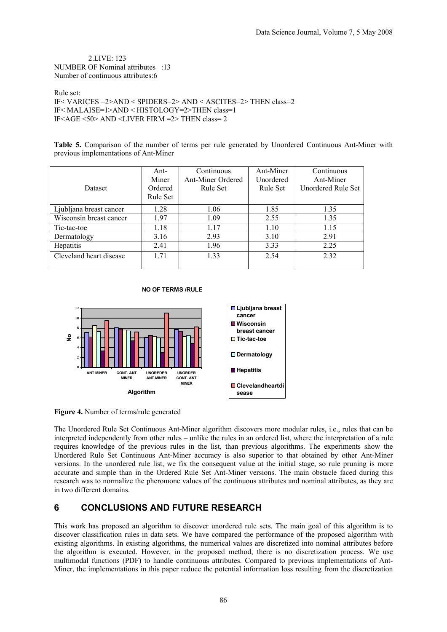2.LIVE: 123 NUMBER OF Nominal attributes :13 Number of continuous attributes:6

Rule set: IF< VARICES =2>AND < SPIDERS=2> AND < ASCITES=2> THEN class=2 IF< MALAISE=1>AND < HISTOLOGY=2>THEN class=1 IF<AGE <50> AND <LIVER FIRM =2> THEN class= 2

**Table 5.** Comparison of the number of terms per rule generated by Unordered Continuous Ant-Miner with previous implementations of Ant-Miner

| Dataset                 | Ant-<br>Miner<br>Ordered<br>Rule Set | Continuous<br><b>Ant-Miner Ordered</b><br>Rule Set | Ant-Miner<br>Unordered<br>Rule Set | Continuous<br>Ant-Miner<br>Unordered Rule Set |
|-------------------------|--------------------------------------|----------------------------------------------------|------------------------------------|-----------------------------------------------|
|                         |                                      |                                                    |                                    |                                               |
| Ljubljana breast cancer | 1.28                                 | 1.06                                               | 1.85                               | 1.35                                          |
| Wisconsin breast cancer | 1.97                                 | 1.09                                               | 2.55                               | 1.35                                          |
| Tic-tac-toe             | 1.18                                 | 1.17                                               | 1.10                               | 1.15                                          |
| Dermatology             | 3.16                                 | 2.93                                               | 3.10                               | 2.91                                          |
| Hepatitis               | 2.41                                 | 1.96                                               | 3.33                               | 2.25                                          |
| Cleveland heart disease | 1.71                                 | 1 33                                               | 2.54                               | 2.32                                          |

#### **NO OF TERMS /RULE**



**Figure 4.** Number of terms/rule generated

The Unordered Rule Set Continuous Ant-Miner algorithm discovers more modular rules, i.e., rules that can be interpreted independently from other rules – unlike the rules in an ordered list, where the interpretation of a rule requires knowledge of the previous rules in the list, than previous algorithms. The experiments show the Unordered Rule Set Continuous Ant-Miner accuracy is also superior to that obtained by other Ant-Miner versions. In the unordered rule list, we fix the consequent value at the initial stage, so rule pruning is more accurate and simple than in the Ordered Rule Set Ant-Miner versions. The main obstacle faced during this research was to normalize the pheromone values of the continuous attributes and nominal attributes, as they are in two different domains.

## **6 CONCLUSIONS AND FUTURE RESEARCH**

This work has proposed an algorithm to discover unordered rule sets. The main goal of this algorithm is to discover classification rules in data sets. We have compared the performance of the proposed algorithm with existing algorithms. In existing algorithms, the numerical values are discretized into nominal attributes before the algorithm is executed. However, in the proposed method, there is no discretization process. We use multimodal functions (PDF) to handle continuous attributes. Compared to previous implementations of Ant-Miner, the implementations in this paper reduce the potential information loss resulting from the discretization